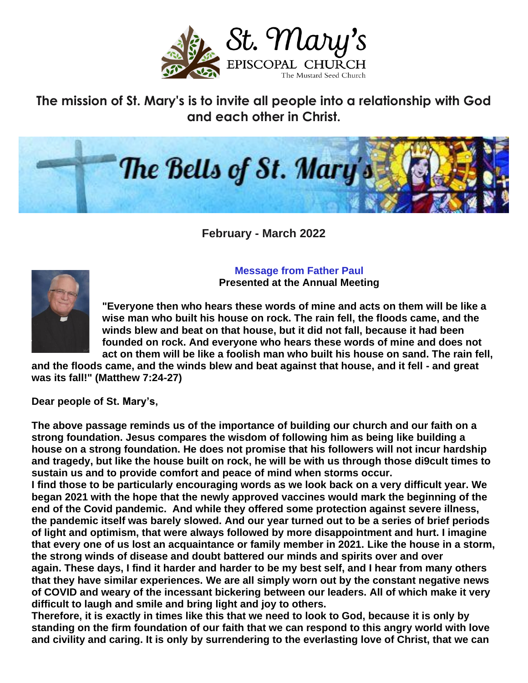

**The mission of St. Mary's is to invite all people into a relationship with God and each other in Christ.**



**February - March 2022**

**Message from Father Paul Presented at the Annual Meeting**



**"Everyone then who hears these words of mine and acts on them will be like a wise man who built his house on rock. The rain fell, the floods came, and the winds blew and beat on that house, but it did not fall, because it had been founded on rock. And everyone who hears these words of mine and does not act on them will be like a foolish man who built his house on sand. The rain fell,** 

**and the floods came, and the winds blew and beat against that house, and it fell - and great was its fall!" (Matthew 7:24-27)**

**Dear people of St. Mary's,**

**The above passage reminds us of the importance of building our church and our faith on a strong foundation. Jesus compares the wisdom of following him as being like building a house on a strong foundation. He does not promise that his followers will not incur hardship and tragedy, but like the house built on rock, he will be with us through those di9cult times to sustain us and to provide comfort and peace of mind when storms occur.**

**I find those to be particularly encouraging words as we look back on a very difficult year. We began 2021 with the hope that the newly approved vaccines would mark the beginning of the end of the Covid pandemic. And while they offered some protection against severe illness, the pandemic itself was barely slowed. And our year turned out to be a series of brief periods of light and optimism, that were always followed by more disappointment and hurt. I imagine that every one of us lost an acquaintance or family member in 2021. Like the house in a storm, the strong winds of disease and doubt battered our minds and spirits over and over again. These days, I find it harder and harder to be my best self, and I hear from many others that they have similar experiences. We are all simply worn out by the constant negative news of COVID and weary of the incessant bickering between our leaders. All of which make it very difficult to laugh and smile and bring light and joy to others.** 

**Therefore, it is exactly in times like this that we need to look to God, because it is only by standing on the firm foundation of our faith that we can respond to this angry world with love and civility and caring. It is only by surrendering to the everlasting love of Christ, that we can**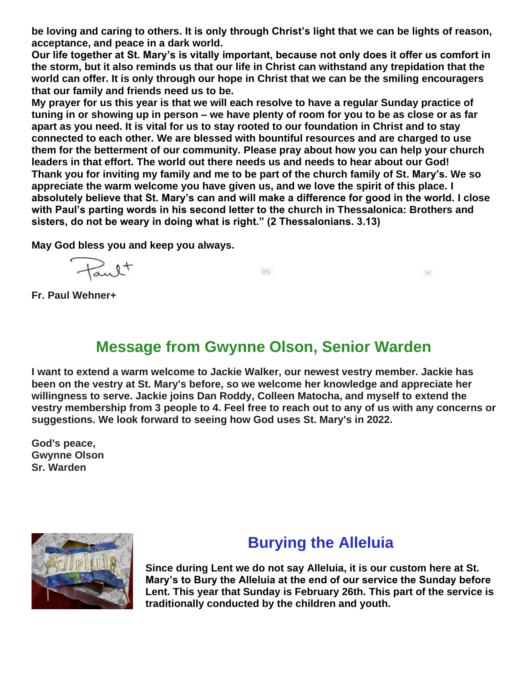**be loving and caring to others. It is only through Christ's light that we can be lights of reason, acceptance, and peace in a dark world.**

**Our life together at St. Mary's is vitally important, because not only does it offer us comfort in the storm, but it also reminds us that our life in Christ can withstand any trepidation that the world can offer. It is only through our hope in Christ that we can be the smiling encouragers that our family and friends need us to be.**

**My prayer for us this year is that we will each resolve to have a regular Sunday practice of tuning in or showing up in person – we have plenty of room for you to be as close or as far apart as you need. It is vital for us to stay rooted to our foundation in Christ and to stay connected to each other. We are blessed with bountiful resources and are charged to use them for the betterment of our community. Please pray about how you can help your church leaders in that effort. The world out there needs us and needs to hear about our God! Thank you for inviting my family and me to be part of the church family of St. Mary's. We so appreciate the warm welcome you have given us, and we love the spirit of this place. I absolutely believe that St. Mary's can and will make a difference for good in the world. I close with Paul's parting words in his second letter to the church in Thessalonica: Brothers and sisters, do not be weary in doing what is right." (2 Thessalonians. 3.13)**

**May God bless you and keep you always.**

Fault

 $\langle \overline{S} \overline{S} \overline{S} \rangle$ 

 $\overline{\langle 2\,4\rangle}$ 

**Fr. Paul Wehner+**

### **Message from Gwynne Olson, Senior Warden**

**I want to extend a warm welcome to Jackie Walker, our newest vestry member. Jackie has been on the vestry at St. Mary's before, so we welcome her knowledge and appreciate her willingness to serve. Jackie joins Dan Roddy, Colleen Matocha, and myself to extend the vestry membership from 3 people to 4. Feel free to reach out to any of us with any concerns or suggestions. We look forward to seeing how God uses St. Mary's in 2022.**

**God's peace, Gwynne Olson Sr. Warden**



### **Burying the Alleluia**

**Since during Lent we do not say Alleluia, it is our custom here at St. Mary's to Bury the Alleluia at the end of our service the Sunday before Lent. This year that Sunday is February 26th. This part of the service is traditionally conducted by the children and youth.**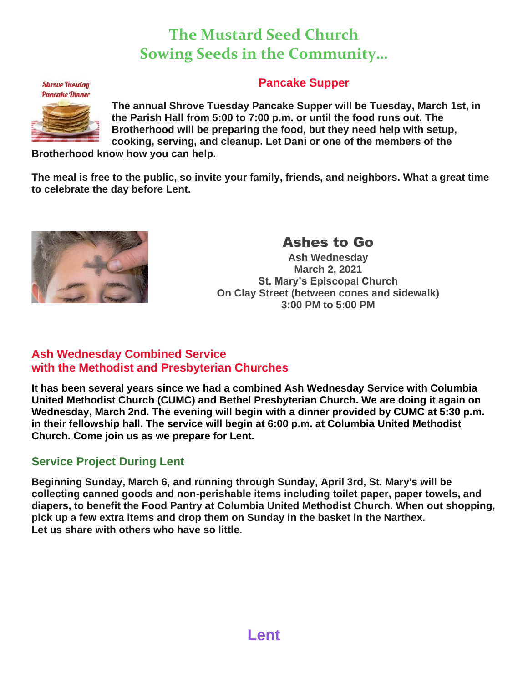## **The Mustard Seed Church Sowing Seeds in the Community…**



#### **Pancake Supper**

**The annual Shrove Tuesday Pancake Supper will be Tuesday, March 1st, in the Parish Hall from 5:00 to 7:00 p.m. or until the food runs out. The Brotherhood will be preparing the food, but they need help with setup, cooking, serving, and cleanup. Let Dani or one of the members of the** 

**Brotherhood know how you can help.**

**The meal is free to the public, so invite your family, friends, and neighbors. What a great time to celebrate the day before Lent.**



#### Ashes to Go

**Ash Wednesday March 2, 2021 St. Mary's Episcopal Church On Clay Street (between cones and sidewalk) 3:00 PM to 5:00 PM**

#### **Ash Wednesday Combined Service with the Methodist and Presbyterian Churches**

**It has been several years since we had a combined Ash Wednesday Service with Columbia United Methodist Church (CUMC) and Bethel Presbyterian Church. We are doing it again on Wednesday, March 2nd. The evening will begin with a dinner provided by CUMC at 5:30 p.m. in their fellowship hall. The service will begin at 6:00 p.m. at Columbia United Methodist Church. Come join us as we prepare for Lent.**

#### **Service Project During Lent**

**Beginning Sunday, March 6, and running through Sunday, April 3rd, St. Mary's will be collecting canned goods and non-perishable items including toilet paper, paper towels, and diapers, to benefit the Food Pantry at Columbia United Methodist Church. When out shopping, pick up a few extra items and drop them on Sunday in the basket in the Narthex. Let us share with others who have so little.**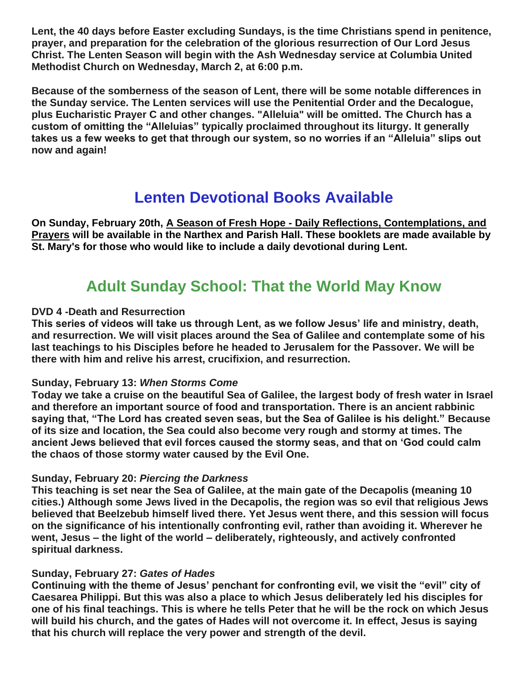**Lent, the 40 days before Easter excluding Sundays, is the time Christians spend in penitence, prayer, and preparation for the celebration of the glorious resurrection of Our Lord Jesus Christ. The Lenten Season will begin with the Ash Wednesday service at Columbia United Methodist Church on Wednesday, March 2, at 6:00 p.m.**

**Because of the somberness of the season of Lent, there will be some notable differences in the Sunday service. The Lenten services will use the Penitential Order and the Decalogue, plus Eucharistic Prayer C and other changes. "Alleluia" will be omitted. The Church has a custom of omitting the "Alleluias" typically proclaimed throughout its liturgy. It generally takes us a few weeks to get that through our system, so no worries if an "Alleluia" slips out now and again!**

### **Lenten Devotional Books Available**

**On Sunday, February 20th, A Season of Fresh Hope - Daily Reflections, Contemplations, and Prayers will be available in the Narthex and Parish Hall. These booklets are made available by St. Mary's for those who would like to include a daily devotional during Lent.**

### **Adult Sunday School: That the World May Know**

#### **DVD 4 -Death and Resurrection**

**This series of videos will take us through Lent, as we follow Jesus' life and ministry, death, and resurrection. We will visit places around the Sea of Galilee and contemplate some of his last teachings to his Disciples before he headed to Jerusalem for the Passover. We will be there with him and relive his arrest, crucifixion, and resurrection.**

#### **Sunday, February 13:** *When Storms Come*

**Today we take a cruise on the beautiful Sea of Galilee, the largest body of fresh water in Israel and therefore an important source of food and transportation. There is an ancient rabbinic saying that, "The Lord has created seven seas, but the Sea of Galilee is his delight." Because of its size and location, the Sea could also become very rough and stormy at times. The ancient Jews believed that evil forces caused the stormy seas, and that on 'God could calm the chaos of those stormy water caused by the Evil One.**

#### **Sunday, February 20:** *Piercing the Darkness*

**This teaching is set near the Sea of Galilee, at the main gate of the Decapolis (meaning 10 cities.) Although some Jews lived in the Decapolis, the region was so evil that religious Jews believed that Beelzebub himself lived there. Yet Jesus went there, and this session will focus on the significance of his intentionally confronting evil, rather than avoiding it. Wherever he went, Jesus – the light of the world – deliberately, righteously, and actively confronted spiritual darkness.**

#### **Sunday, February 27:** *Gates of Hades*

**Continuing with the theme of Jesus' penchant for confronting evil, we visit the "evil" city of Caesarea Philippi. But this was also a place to which Jesus deliberately led his disciples for one of his final teachings. This is where he tells Peter that he will be the rock on which Jesus will build his church, and the gates of Hades will not overcome it. In effect, Jesus is saying that his church will replace the very power and strength of the devil.**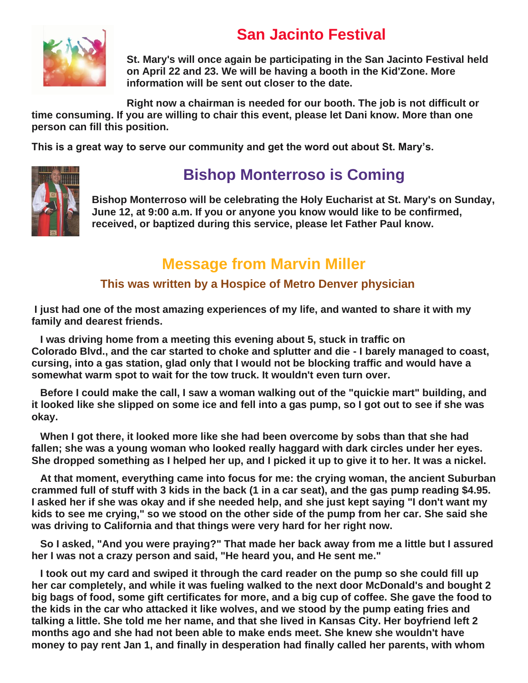# **San Jacinto Festival**



**St. Mary's will once again be participating in the San Jacinto Festival held on April 22 and 23. We will be having a booth in the Kid'Zone. More information will be sent out closer to the date.**

**Right now a chairman is needed for our booth. The job is not difficult or time consuming. If you are willing to chair this event, please let Dani know. More than one person can fill this position.**

**This is a great way to serve our community and get the word out about St. Mary's.**



# **Bishop Monterroso is Coming**

**Bishop Monterroso will be celebrating the Holy Eucharist at St. Mary's on Sunday, June 12, at 9:00 a.m. If you or anyone you know would like to be confirmed, received, or baptized during this service, please let Father Paul know.**

### **Message from Marvin Miller**

#### **This was written by a Hospice of Metro Denver physician**

**I just had one of the most amazing experiences of my life, and wanted to share it with my family and dearest friends.**

 **I was driving home from a meeting this evening about 5, stuck in traffic on Colorado Blvd., and the car started to choke and splutter and die - I barely managed to coast, cursing, into a gas station, glad only that I would not be blocking traffic and would have a somewhat warm spot to wait for the tow truck. It wouldn't even turn over.**

 **Before I could make the call, I saw a woman walking out of the "quickie mart" building, and it looked like she slipped on some ice and fell into a gas pump, so I got out to see if she was okay.**

 **When I got there, it looked more like she had been overcome by sobs than that she had fallen; she was a young woman who looked really haggard with dark circles under her eyes. She dropped something as I helped her up, and I picked it up to give it to her. It was a nickel.**

 **At that moment, everything came into focus for me: the crying woman, the ancient Suburban crammed full of stuff with 3 kids in the back (1 in a car seat), and the gas pump reading \$4.95. I asked her if she was okay and if she needed help, and she just kept saying "I don't want my kids to see me crying," so we stood on the other side of the pump from her car. She said she was driving to California and that things were very hard for her right now.**

 **So I asked, "And you were praying?" That made her back away from me a little but I assured her I was not a crazy person and said, "He heard you, and He sent me."**

 **I took out my card and swiped it through the card reader on the pump so she could fill up her car completely, and while it was fueling walked to the next door McDonald's and bought 2 big bags of food, some gift certificates for more, and a big cup of coffee. She gave the food to the kids in the car who attacked it like wolves, and we stood by the pump eating fries and talking a little. She told me her name, and that she lived in Kansas City. Her boyfriend left 2 months ago and she had not been able to make ends meet. She knew she wouldn't have money to pay rent Jan 1, and finally in desperation had finally called her parents, with whom**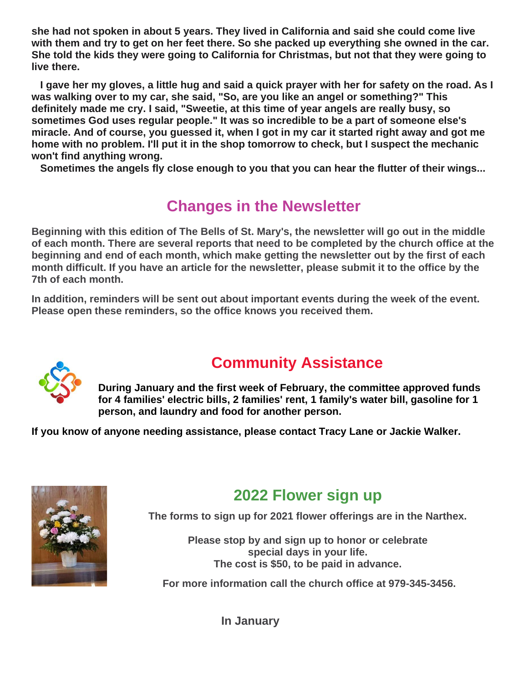**she had not spoken in about 5 years. They lived in California and said she could come live with them and try to get on her feet there. So she packed up everything she owned in the car. She told the kids they were going to California for Christmas, but not that they were going to live there.**

 **I gave her my gloves, a little hug and said a quick prayer with her for safety on the road. As I was walking over to my car, she said, "So, are you like an angel or something?" This definitely made me cry. I said, "Sweetie, at this time of year angels are really busy, so sometimes God uses regular people." It was so incredible to be a part of someone else's miracle. And of course, you guessed it, when I got in my car it started right away and got me home with no problem. I'll put it in the shop tomorrow to check, but I suspect the mechanic won't find anything wrong.**

 **Sometimes the angels fly close enough to you that you can hear the flutter of their wings...**

# **Changes in the Newsletter**

**Beginning with this edition of The Bells of St. Mary's, the newsletter will go out in the middle of each month. There are several reports that need to be completed by the church office at the beginning and end of each month, which make getting the newsletter out by the first of each month difficult. If you have an article for the newsletter, please submit it to the office by the 7th of each month.**

**In addition, reminders will be sent out about important events during the week of the event. Please open these reminders, so the office knows you received them.**



# **Community Assistance**

**During January and the first week of February, the committee approved funds for 4 families' electric bills, 2 families' rent, 1 family's water bill, gasoline for 1 person, and laundry and food for another person.**

**If you know of anyone needing assistance, please contact Tracy Lane or Jackie Walker.**



# **2022 Flower sign up**

**The forms to sign up for 2021 flower offerings are in the Narthex.**

**Please stop by and sign up to honor or celebrate special days in your life. The cost is \$50, to be paid in advance.**

**For more information call the church office at 979-345-3456.**

**In January**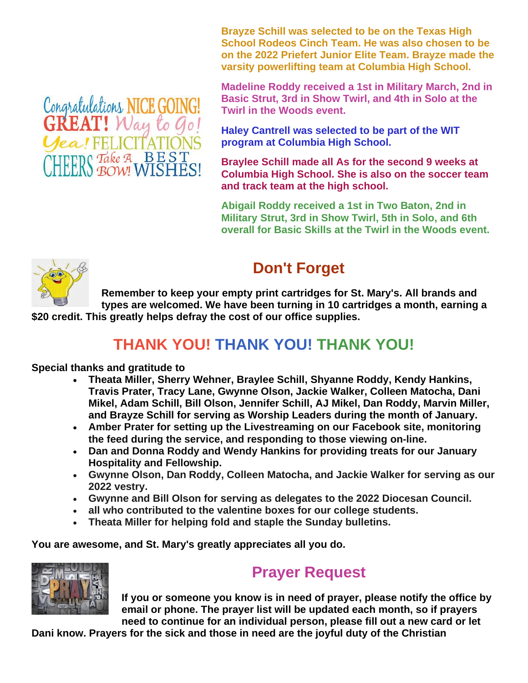**Brayze Schill was selected to be on the Texas High School Rodeos Cinch Team. He was also chosen to be on the 2022 Priefert Junior Elite Team. Brayze made the varsity powerlifting team at Columbia High School.**

**Madeline Roddy received a 1st in Military March, 2nd in Basic Strut, 3rd in Show Twirl, and 4th in Solo at the Twirl in the Woods event.**

**Haley Cantrell was selected to be part of the WIT program at Columbia High School.**

**Braylee Schill made all As for the second 9 weeks at Columbia High School. She is also on the soccer team and track team at the high school.**

**Abigail Roddy received a 1st in Two Baton, 2nd in Military Strut, 3rd in Show Twirl, 5th in Solo, and 6th overall for Basic Skills at the Twirl in the Woods event.**



## **Don't Forget**

**Remember to keep your empty print cartridges for St. Mary's. All brands and types are welcomed. We have been turning in 10 cartridges a month, earning a \$20 credit. This greatly helps defray the cost of our office supplies.**

# **THANK YOU! THANK YOU! THANK YOU!**

**Special thanks and gratitude to**

- **Theata Miller, Sherry Wehner, Braylee Schill, Shyanne Roddy, Kendy Hankins, Travis Prater, Tracy Lane, Gwynne Olson, Jackie Walker, Colleen Matocha, Dani Mikel, Adam Schill, Bill Olson, Jennifer Schill, AJ Mikel, Dan Roddy, Marvin Miller, and Brayze Schill for serving as Worship Leaders during the month of January.**
- **Amber Prater for setting up the Livestreaming on our Facebook site, monitoring the feed during the service, and responding to those viewing on-line.**
- **Dan and Donna Roddy and Wendy Hankins for providing treats for our January Hospitality and Fellowship.**
- **Gwynne Olson, Dan Roddy, Colleen Matocha, and Jackie Walker for serving as our 2022 vestry.**
- **Gwynne and Bill Olson for serving as delegates to the 2022 Diocesan Council.**
- **all who contributed to the valentine boxes for our college students.**
- **Theata Miller for helping fold and staple the Sunday bulletins.**

**You are awesome, and St. Mary's greatly appreciates all you do.**



# **Prayer Request**

**If you or someone you know is in need of prayer, please notify the office by email or phone. The prayer list will be updated each month, so if prayers need to continue for an individual person, please fill out a new card or let** 

**Dani know. Prayers for the sick and those in need are the joyful duty of the Christian** 

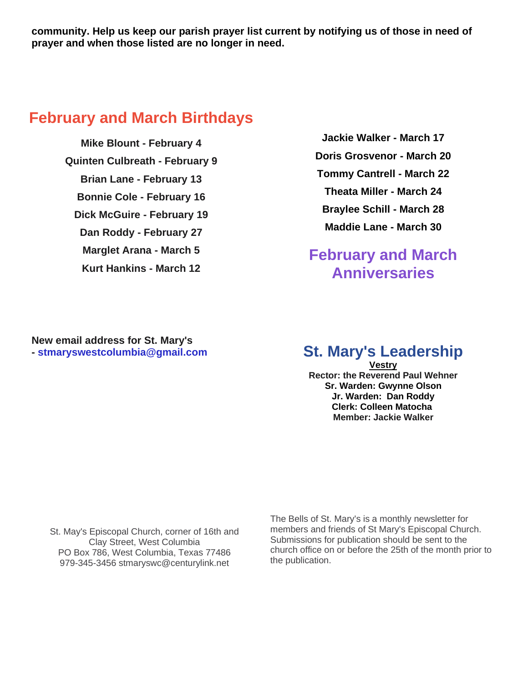**community. Help us keep our parish prayer list current by notifying us of those in need of prayer and when those listed are no longer in need.**

#### **February and March Birthdays**

**Mike Blount - February 4 Quinten Culbreath - February 9 Brian Lane - February 13 Bonnie Cole - February 16 Dick McGuire - February 19 Dan Roddy - February 27 Marglet Arana - March 5 Kurt Hankins - March 12**

**Jackie Walker - March 17 Doris Grosvenor - March 20 Tommy Cantrell - March 22 Theata Miller - March 24 Braylee Schill - March 28 Maddie Lane - March 30**

#### **February and March Anniversaries**

**New email address for St. Mary's - stmaryswestcolumbia@gmail.com**

#### **St. Mary's Leadership**

**Vestry Rector: the Reverend Paul Wehner Sr. Warden: Gwynne Olson Jr. Warden: Dan Roddy Clerk: Colleen Matocha Member: Jackie Walker**

St. May's Episcopal Church, corner of 16th and Clay Street, West Columbia PO Box 786, West Columbia, Texas 77486 979-345-3456 stmaryswc@centurylink.net

The Bells of St. Mary's is a monthly newsletter for members and friends of St Mary's Episcopal Church. Submissions for publication should be sent to the church office on or before the 25th of the month prior to the publication.